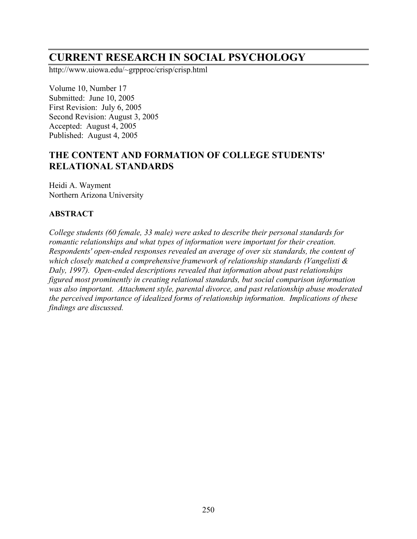# **CURRENT RESEARCH IN SOCIAL PSYCHOLOGY**

http://www.uiowa.edu/~grpproc/crisp/crisp.html

Volume 10, Number 17 Submitted: June 10, 2005 First Revision: July 6, 2005 Second Revision: August 3, 2005 Accepted: August 4, 2005 Published: August 4, 2005

## **THE CONTENT AND FORMATION OF COLLEGE STUDENTS' RELATIONAL STANDARDS**

Heidi A. Wayment Northern Arizona University

## **ABSTRACT**

*College students (60 female, 33 male) were asked to describe their personal standards for romantic relationships and what types of information were important for their creation. Respondents' open-ended responses revealed an average of over six standards, the content of which closely matched a comprehensive framework of relationship standards (Vangelisti & Daly, 1997). Open-ended descriptions revealed that information about past relationships figured most prominently in creating relational standards, but social comparison information was also important. Attachment style, parental divorce, and past relationship abuse moderated the perceived importance of idealized forms of relationship information. Implications of these findings are discussed.*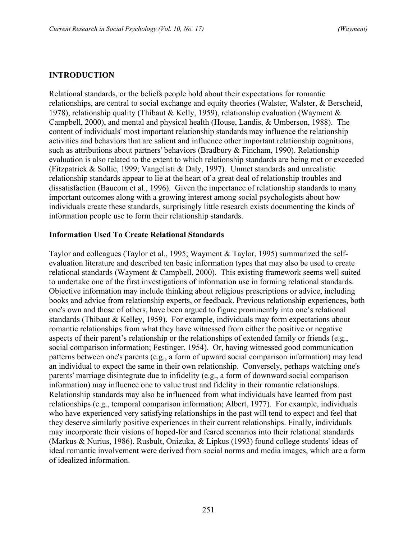#### **INTRODUCTION**

Relational standards, or the beliefs people hold about their expectations for romantic relationships, are central to social exchange and equity theories (Walster, Walster, & Berscheid, 1978), relationship quality (Thibaut & Kelly, 1959), relationship evaluation (Wayment & Campbell, 2000), and mental and physical health (House, Landis, & Umberson, 1988). The content of individuals' most important relationship standards may influence the relationship activities and behaviors that are salient and influence other important relationship cognitions, such as attributions about partners' behaviors (Bradbury & Fincham, 1990). Relationship evaluation is also related to the extent to which relationship standards are being met or exceeded (Fitzpatrick & Sollie, 1999; Vangelisti & Daly, 1997). Unmet standards and unrealistic relationship standards appear to lie at the heart of a great deal of relationship troubles and dissatisfaction (Baucom et al., 1996). Given the importance of relationship standards to many important outcomes along with a growing interest among social psychologists about how individuals create these standards, surprisingly little research exists documenting the kinds of information people use to form their relationship standards.

#### **Information Used To Create Relational Standards**

Taylor and colleagues (Taylor et al., 1995; Wayment & Taylor, 1995) summarized the selfevaluation literature and described ten basic information types that may also be used to create relational standards (Wayment & Campbell, 2000). This existing framework seems well suited to undertake one of the first investigations of information use in forming relational standards. Objective information may include thinking about religious prescriptions or advice, including books and advice from relationship experts, or feedback. Previous relationship experiences, both one's own and those of others, have been argued to figure prominently into one's relational standards (Thibaut & Kelley, 1959). For example, individuals may form expectations about romantic relationships from what they have witnessed from either the positive or negative aspects of their parent's relationship or the relationships of extended family or friends (e.g., social comparison information; Festinger, 1954). Or, having witnessed good communication patterns between one's parents (e.g., a form of upward social comparison information) may lead an individual to expect the same in their own relationship. Conversely, perhaps watching one's parents' marriage disintegrate due to infidelity (e.g., a form of downward social comparison information) may influence one to value trust and fidelity in their romantic relationships. Relationship standards may also be influenced from what individuals have learned from past relationships (e.g., temporal comparison information; Albert, 1977). For example, individuals who have experienced very satisfying relationships in the past will tend to expect and feel that they deserve similarly positive experiences in their current relationships. Finally, individuals may incorporate their visions of hoped-for and feared scenarios into their relational standards (Markus & Nurius, 1986). Rusbult, Onizuka, & Lipkus (1993) found college students' ideas of ideal romantic involvement were derived from social norms and media images, which are a form of idealized information.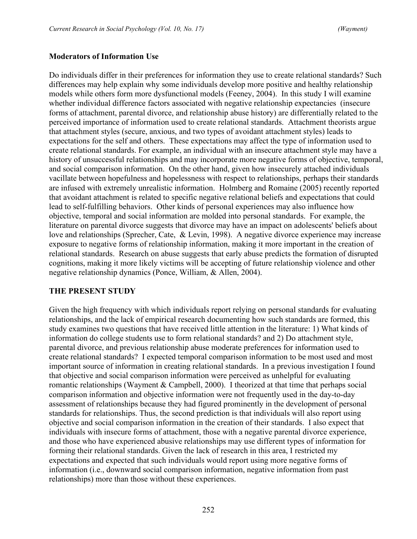#### **Moderators of Information Use**

Do individuals differ in their preferences for information they use to create relational standards? Such differences may help explain why some individuals develop more positive and healthy relationship models while others form more dysfunctional models (Feeney, 2004). In this study I will examine whether individual difference factors associated with negative relationship expectancies (insecure forms of attachment, parental divorce, and relationship abuse history) are differentially related to the perceived importance of information used to create relational standards. Attachment theorists argue that attachment styles (secure, anxious, and two types of avoidant attachment styles) leads to expectations for the self and others. These expectations may affect the type of information used to create relational standards. For example, an individual with an insecure attachment style may have a history of unsuccessful relationships and may incorporate more negative forms of objective, temporal, and social comparison information. On the other hand, given how insecurely attached individuals vacillate between hopefulness and hopelessness with respect to relationships, perhaps their standards are infused with extremely unrealistic information. Holmberg and Romaine (2005) recently reported that avoidant attachment is related to specific negative relational beliefs and expectations that could lead to self-fulfilling behaviors. Other kinds of personal experiences may also influence how objective, temporal and social information are molded into personal standards. For example, the literature on parental divorce suggests that divorce may have an impact on adolescents' beliefs about love and relationships (Sprecher, Cate, & Levin, 1998). A negative divorce experience may increase exposure to negative forms of relationship information, making it more important in the creation of relational standards. Research on abuse suggests that early abuse predicts the formation of disrupted cognitions, making it more likely victims will be accepting of future relationship violence and other negative relationship dynamics (Ponce, William, & Allen, 2004).

#### **THE PRESENT STUDY**

Given the high frequency with which individuals report relying on personal standards for evaluating relationships, and the lack of empirical research documenting how such standards are formed, this study examines two questions that have received little attention in the literature: 1) What kinds of information do college students use to form relational standards? and 2) Do attachment style, parental divorce, and previous relationship abuse moderate preferences for information used to create relational standards? I expected temporal comparison information to be most used and most important source of information in creating relational standards. In a previous investigation I found that objective and social comparison information were perceived as unhelpful for evaluating romantic relationships (Wayment & Campbell, 2000). I theorized at that time that perhaps social comparison information and objective information were not frequently used in the day-to-day assessment of relationships because they had figured prominently in the development of personal standards for relationships. Thus, the second prediction is that individuals will also report using objective and social comparison information in the creation of their standards. I also expect that individuals with insecure forms of attachment, those with a negative parental divorce experience, and those who have experienced abusive relationships may use different types of information for forming their relational standards. Given the lack of research in this area, I restricted my expectations and expected that such individuals would report using more negative forms of information (i.e., downward social comparison information, negative information from past relationships) more than those without these experiences.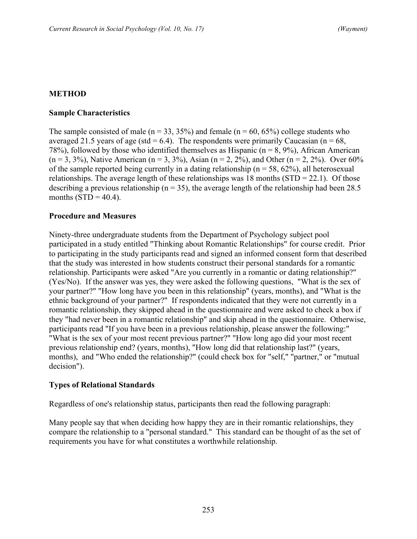## **METHOD**

#### **Sample Characteristics**

The sample consisted of male ( $n = 33, 35\%$ ) and female ( $n = 60, 65\%$ ) college students who averaged 21.5 years of age (std = 6.4). The respondents were primarily Caucasian ( $n = 68$ , 78%), followed by those who identified themselves as Hispanic ( $n = 8, 9\%$ ), African American  $(n = 3, 3\%)$ , Native American  $(n = 3, 3\%)$ , Asian  $(n = 2, 2\%)$ , and Other  $(n = 2, 2\%)$ . Over 60% of the sample reported being currently in a dating relationship ( $n = 58$ ,  $62\%$ ), all heterosexual relationships. The average length of these relationships was  $18$  months  $(STD = 22.1)$ . Of those describing a previous relationship ( $n = 35$ ), the average length of the relationship had been 28.5 months  $(STD = 40.4)$ .

#### **Procedure and Measures**

Ninety-three undergraduate students from the Department of Psychology subject pool participated in a study entitled "Thinking about Romantic Relationships" for course credit. Prior to participating in the study participants read and signed an informed consent form that described that the study was interested in how students construct their personal standards for a romantic relationship. Participants were asked "Are you currently in a romantic or dating relationship?" (Yes/No). If the answer was yes, they were asked the following questions, "What is the sex of your partner?" "How long have you been in this relationship" (years, months), and "What is the ethnic background of your partner?" If respondents indicated that they were not currently in a romantic relationship, they skipped ahead in the questionnaire and were asked to check a box if they "had never been in a romantic relationship" and skip ahead in the questionnaire. Otherwise, participants read "If you have been in a previous relationship, please answer the following:" "What is the sex of your most recent previous partner?" "How long ago did your most recent previous relationship end? (years, months), "How long did that relationship last?" (years, months), and "Who ended the relationship?" (could check box for "self," "partner," or "mutual decision").

## **Types of Relational Standards**

Regardless of one's relationship status, participants then read the following paragraph:

Many people say that when deciding how happy they are in their romantic relationships, they compare the relationship to a "personal standard." This standard can be thought of as the set of requirements you have for what constitutes a worthwhile relationship.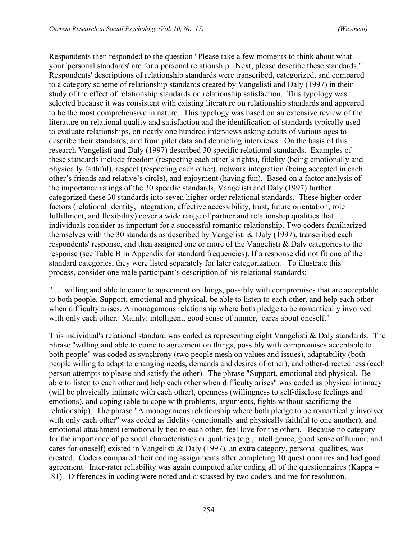Respondents then responded to the question "Please take a few moments to think about what your 'personal standards' are for a personal relationship. Next, please describe these standards." Respondents' descriptions of relationship standards were transcribed, categorized, and compared to a category scheme of relationship standards created by Vangelisti and Daly (1997) in their study of the effect of relationship standards on relationship satisfaction. This typology was selected because it was consistent with existing literature on relationship standards and appeared to be the most comprehensive in nature. This typology was based on an extensive review of the literature on relational quality and satisfaction and the identification of standards typically used to evaluate relationships, on nearly one hundred interviews asking adults of various ages to describe their standards, and from pilot data and debriefing interviews. On the basis of this research Vangelisti and Daly (1997) described 30 specific relational standards. Examples of these standards include freedom (respecting each other's rights), fidelity (being emotionally and physically faithful), respect (respecting each other), network integration (being accepted in each other's friends and relative's circle), and enjoyment (having fun). Based on a factor analysis of the importance ratings of the 30 specific standards, Vangelisti and Daly (1997) further categorized these 30 standards into seven higher-order relational standards. These higher-order factors (relational identity, integration, affective accessibility, trust, future orientation, role fulfillment, and flexibility) cover a wide range of partner and relationship qualities that individuals consider as important for a successful romantic relationship. Two coders familiarized themselves with the 30 standards as described by Vangelisti & Daly (1997), transcribed each respondents' response, and then assigned one or more of the Vangelisti & Daly categories to the response (see Table B in Appendix for standard frequencies). If a response did not fit one of the standard categories, they were listed separately for later categorization. To illustrate this process, consider one male participant's description of his relational standards:

" … willing and able to come to agreement on things, possibly with compromises that are acceptable to both people. Support, emotional and physical, be able to listen to each other, and help each other when difficulty arises. A monogamous relationship where both pledge to be romantically involved with only each other. Mainly: intelligent, good sense of humor, cares about oneself."

This individual's relational standard was coded as representing eight Vangelisti & Daly standards. The phrase "willing and able to come to agreement on things, possibly with compromises acceptable to both people" was coded as synchrony (two people mesh on values and issues), adaptability (both people willing to adapt to changing needs, demands and desires of other), and other-directedness (each person attempts to please and satisfy the other). The phrase "Support, emotional and physical. Be able to listen to each other and help each other when difficulty arises" was coded as physical intimacy (will be physically intimate with each other), openness (willingness to self-disclose feelings and emotions), and coping (able to cope with problems, arguments, fights without sacrificing the relationship). The phrase "A monogamous relationship where both pledge to be romantically involved with only each other" was coded as fidelity (emotionally and physically faithful to one another), and emotional attachment (emotionally tied to each other, feel love for the other). Because no category for the importance of personal characteristics or qualities (e.g., intelligence, good sense of humor, and cares for oneself) existed in Vangelisti & Daly (1997), an extra category, personal qualities, was created. Coders compared their coding assignments after completing 10 questionnaires and had good agreement. Inter-rater reliability was again computed after coding all of the questionnaires (Kappa = .81). Differences in coding were noted and discussed by two coders and me for resolution.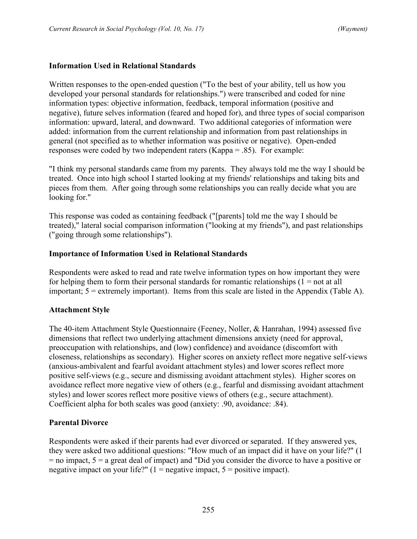#### **Information Used in Relational Standards**

Written responses to the open-ended question ("To the best of your ability, tell us how you developed your personal standards for relationships.") were transcribed and coded for nine information types: objective information, feedback, temporal information (positive and negative), future selves information (feared and hoped for), and three types of social comparison information: upward, lateral, and downward. Two additional categories of information were added: information from the current relationship and information from past relationships in general (not specified as to whether information was positive or negative). Open-ended responses were coded by two independent raters (Kappa = .85). For example:

"I think my personal standards came from my parents. They always told me the way I should be treated. Once into high school I started looking at my friends' relationships and taking bits and pieces from them. After going through some relationships you can really decide what you are looking for."

This response was coded as containing feedback ("[parents] told me the way I should be treated)," lateral social comparison information ("looking at my friends"), and past relationships ("going through some relationships").

#### **Importance of Information Used in Relational Standards**

Respondents were asked to read and rate twelve information types on how important they were for helping them to form their personal standards for romantic relationships  $(1 = not at all$ important; 5 = extremely important). Items from this scale are listed in the Appendix (Table A).

## **Attachment Style**

The 40-item Attachment Style Questionnaire (Feeney, Noller, & Hanrahan, 1994) assessed five dimensions that reflect two underlying attachment dimensions anxiety (need for approval, preoccupation with relationships, and (low) confidence) and avoidance (discomfort with closeness, relationships as secondary). Higher scores on anxiety reflect more negative self-views (anxious-ambivalent and fearful avoidant attachment styles) and lower scores reflect more positive self-views (e.g., secure and dismissing avoidant attachment styles). Higher scores on avoidance reflect more negative view of others (e.g., fearful and dismissing avoidant attachment styles) and lower scores reflect more positive views of others (e.g., secure attachment). Coefficient alpha for both scales was good (anxiety: .90, avoidance: .84).

## **Parental Divorce**

Respondents were asked if their parents had ever divorced or separated. If they answered yes, they were asked two additional questions: "How much of an impact did it have on your life?" (1  $=$  no impact,  $5 = a$  great deal of impact) and "Did you consider the divorce to have a positive or negative impact on your life?"  $(1 =$  negative impact,  $5 =$  positive impact).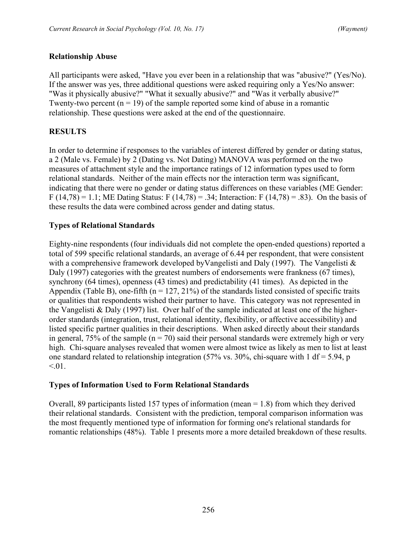## **Relationship Abuse**

All participants were asked, "Have you ever been in a relationship that was "abusive?" (Yes/No). If the answer was yes, three additional questions were asked requiring only a Yes/No answer: "Was it physically abusive?" "What it sexually abusive?" and "Was it verbally abusive?" Twenty-two percent  $(n = 19)$  of the sample reported some kind of abuse in a romantic relationship. These questions were asked at the end of the questionnaire.

## **RESULTS**

In order to determine if responses to the variables of interest differed by gender or dating status, a 2 (Male vs. Female) by 2 (Dating vs. Not Dating) MANOVA was performed on the two measures of attachment style and the importance ratings of 12 information types used to form relational standards. Neither of the main effects nor the interaction term was significant, indicating that there were no gender or dating status differences on these variables (ME Gender: F (14,78) = 1.1; ME Dating Status: F (14,78) = .34; Interaction: F (14,78) = .83). On the basis of these results the data were combined across gender and dating status.

## **Types of Relational Standards**

Eighty-nine respondents (four individuals did not complete the open-ended questions) reported a total of 599 specific relational standards, an average of 6.44 per respondent, that were consistent with a comprehensive framework developed byVangelisti and Daly (1997). The Vangelisti  $\&$ Daly (1997) categories with the greatest numbers of endorsements were frankness (67 times), synchrony (64 times), openness (43 times) and predictability (41 times). As depicted in the Appendix (Table B), one-fifth ( $n = 127, 21\%$ ) of the standards listed consisted of specific traits or qualities that respondents wished their partner to have. This category was not represented in the Vangelisti & Daly (1997) list. Over half of the sample indicated at least one of the higherorder standards (integration, trust, relational identity, flexibility, or affective accessibility) and listed specific partner qualities in their descriptions. When asked directly about their standards in general, 75% of the sample ( $n = 70$ ) said their personal standards were extremely high or very high. Chi-square analyses revealed that women were almost twice as likely as men to list at least one standard related to relationship integration (57% vs. 30%, chi-square with 1 df = 5.94, p  $< 01.$ 

## **Types of Information Used to Form Relational Standards**

Overall, 89 participants listed 157 types of information (mean = 1.8) from which they derived their relational standards. Consistent with the prediction, temporal comparison information was the most frequently mentioned type of information for forming one's relational standards for romantic relationships (48%). Table 1 presents more a more detailed breakdown of these results.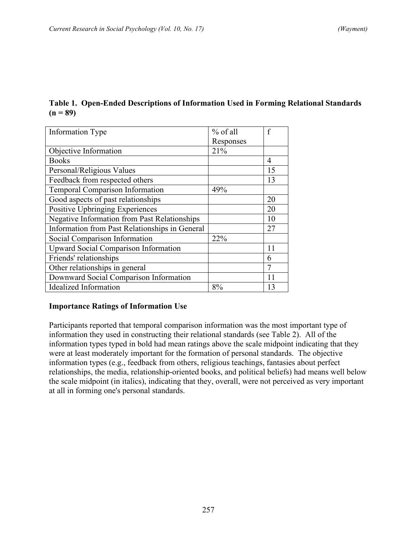|            | Table 1. Open-Ended Descriptions of Information Used in Forming Relational Standards |  |  |
|------------|--------------------------------------------------------------------------------------|--|--|
| $(n = 89)$ |                                                                                      |  |  |

| Information Type                               | $%$ of all |    |
|------------------------------------------------|------------|----|
|                                                | Responses  |    |
| Objective Information                          | 21%        |    |
| <b>Books</b>                                   |            | 4  |
| Personal/Religious Values                      |            | 15 |
| Feedback from respected others                 |            | 13 |
| Temporal Comparison Information                | 49%        |    |
| Good aspects of past relationships             |            | 20 |
| Positive Upbringing Experiences                |            | 20 |
| Negative Information from Past Relationships   |            | 10 |
| Information from Past Relationships in General |            | 27 |
| Social Comparison Information                  | 22%        |    |
| <b>Upward Social Comparison Information</b>    |            | 11 |
| Friends' relationships                         |            | 6  |
| Other relationships in general                 |            | 7  |
| Downward Social Comparison Information         |            | 11 |
| Idealized Information                          | 8%         | 13 |

## **Importance Ratings of Information Use**

Participants reported that temporal comparison information was the most important type of information they used in constructing their relational standards (see Table 2). All of the information types typed in bold had mean ratings above the scale midpoint indicating that they were at least moderately important for the formation of personal standards. The objective information types (e.g., feedback from others, religious teachings, fantasies about perfect relationships, the media, relationship-oriented books, and political beliefs) had means well below the scale midpoint (in italics), indicating that they, overall, were not perceived as very important at all in forming one's personal standards.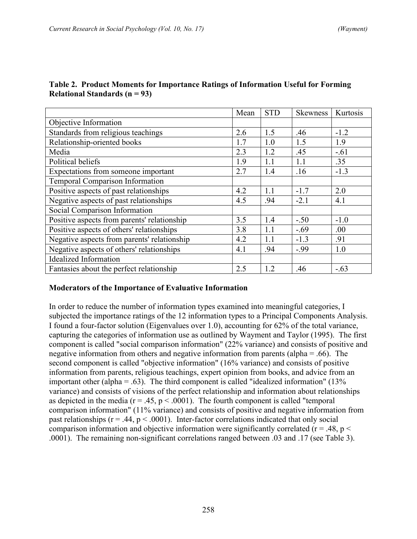|                                             | Mean | <b>STD</b> | <b>Skewness</b> | Kurtosis |
|---------------------------------------------|------|------------|-----------------|----------|
| Objective Information                       |      |            |                 |          |
| Standards from religious teachings          | 2.6  | 1.5        | .46             | $-1.2$   |
| Relationship-oriented books                 | 1.7  | 1.0        | 1.5             | 1.9      |
| Media                                       | 2.3  | 1.2        | .45             | $-61$    |
| Political beliefs                           | 1.9  | 1.1        | 1.1             | .35      |
| Expectations from someone important         | 2.7  | 1.4        | .16             | $-1.3$   |
| Temporal Comparison Information             |      |            |                 |          |
| Positive aspects of past relationships      | 4.2  | 1.1        | $-1.7$          | 2.0      |
| Negative aspects of past relationships      | 4.5  | .94        | $-2.1$          | 4.1      |
| Social Comparison Information               |      |            |                 |          |
| Positive aspects from parents' relationship | 3.5  | 1.4        | $-.50$          | $-1.0$   |
| Positive aspects of others' relationships   | 3.8  | 1.1        | $-.69$          | .00      |
| Negative aspects from parents' relationship | 4.2  | 1.1        | $-1.3$          | .91      |
| Negative aspects of others' relationships   | 4.1  | .94        | $-0.99$         | 1.0      |
| <b>Idealized Information</b>                |      |            |                 |          |
| Fantasies about the perfect relationship    | 2.5  | 1.2        | .46             | $-.63$   |

#### **Table 2. Product Moments for Importance Ratings of Information Useful for Forming Relational Standards (n = 93)**

#### **Moderators of the Importance of Evaluative Information**

In order to reduce the number of information types examined into meaningful categories, I subjected the importance ratings of the 12 information types to a Principal Components Analysis. I found a four-factor solution (Eigenvalues over 1.0), accounting for 62% of the total variance, capturing the categories of information use as outlined by Wayment and Taylor (1995). The first component is called "social comparison information" (22% variance) and consists of positive and negative information from others and negative information from parents (alpha  $=$  .66). The second component is called "objective information" (16% variance) and consists of positive information from parents, religious teachings, expert opinion from books, and advice from an important other (alpha  $= .63$ ). The third component is called "idealized information" (13%) variance) and consists of visions of the perfect relationship and information about relationships as depicted in the media ( $r = .45$ ,  $p < .0001$ ). The fourth component is called "temporal comparison information" (11% variance) and consists of positive and negative information from past relationships ( $r = .44$ ,  $p < .0001$ ). Inter-factor correlations indicated that only social comparison information and objective information were significantly correlated ( $r = .48$ ,  $p <$ .0001). The remaining non-significant correlations ranged between .03 and .17 (see Table 3).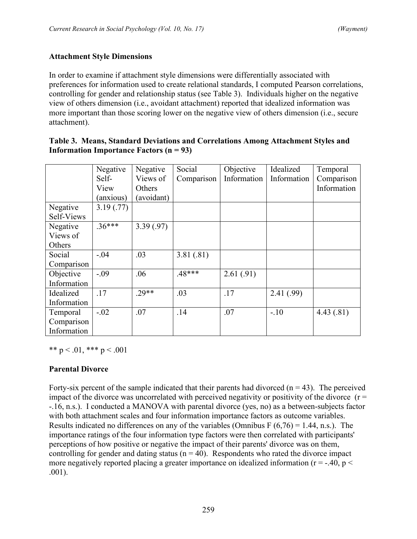## **Attachment Style Dimensions**

In order to examine if attachment style dimensions were differentially associated with preferences for information used to create relational standards, I computed Pearson correlations, controlling for gender and relationship status (see Table 3). Individuals higher on the negative view of others dimension (i.e., avoidant attachment) reported that idealized information was more important than those scoring lower on the negative view of others dimension (i.e., secure attachment).

|             | Negative   | Negative   | Social     | Objective   | Idealized   | Temporal    |
|-------------|------------|------------|------------|-------------|-------------|-------------|
|             | Self-      | Views of   | Comparison | Information | Information | Comparison  |
|             | View       | Others     |            |             |             | Information |
|             | (anxious)  | (avoidant) |            |             |             |             |
| Negative    | 3.19(0.77) |            |            |             |             |             |
| Self-Views  |            |            |            |             |             |             |
| Negative    | $.36***$   | 3.39(.97)  |            |             |             |             |
| Views of    |            |            |            |             |             |             |
| Others      |            |            |            |             |             |             |
| Social      | $-.04$     | .03        | 3.81(.81)  |             |             |             |
| Comparison  |            |            |            |             |             |             |
| Objective   | $-.09$     | .06        | .48***     | 2.61(.91)   |             |             |
| Information |            |            |            |             |             |             |
| Idealized   | .17        | $.29**$    | .03        | .17         | 2.41(.99)   |             |
| Information |            |            |            |             |             |             |
| Temporal    | $-.02$     | .07        | .14        | .07         | $-.10$      | 4.43(.81)   |
| Comparison  |            |            |            |             |             |             |
| Information |            |            |            |             |             |             |

|  |                                                             | Table 3. Means, Standard Deviations and Correlations Among Attachment Styles and |  |  |
|--|-------------------------------------------------------------|----------------------------------------------------------------------------------|--|--|
|  | <b>Information Importance Factors (<math>n = 93</math>)</b> |                                                                                  |  |  |

\*\*  $p < .01$ , \*\*\*  $p < .001$ 

## **Parental Divorce**

Forty-six percent of the sample indicated that their parents had divorced  $(n = 43)$ . The perceived impact of the divorce was uncorrelated with perceived negativity or positivity of the divorce  $(r =$ -.16, n.s.). I conducted a MANOVA with parental divorce (yes, no) as a between-subjects factor with both attachment scales and four information importance factors as outcome variables. Results indicated no differences on any of the variables (Omnibus F  $(6.76) = 1.44$ , n.s.). The importance ratings of the four information type factors were then correlated with participants' perceptions of how positive or negative the impact of their parents' divorce was on them, controlling for gender and dating status ( $n = 40$ ). Respondents who rated the divorce impact more negatively reported placing a greater importance on idealized information ( $r = -0.40$ ,  $p <$ .001).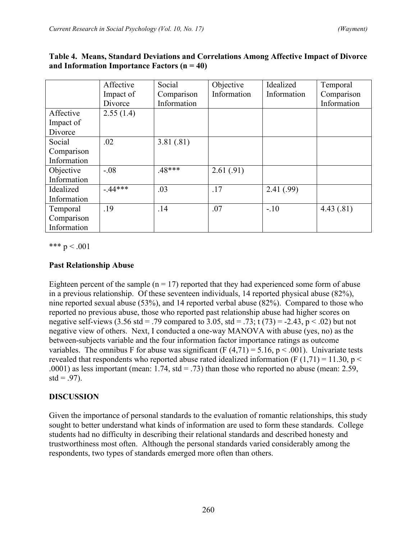|             | Affective | Social      | Objective   | Idealized   | Temporal    |
|-------------|-----------|-------------|-------------|-------------|-------------|
|             | Impact of | Comparison  | Information | Information | Comparison  |
|             | Divorce   | Information |             |             | Information |
| Affective   | 2.55(1.4) |             |             |             |             |
| Impact of   |           |             |             |             |             |
| Divorce     |           |             |             |             |             |
| Social      | .02       | 3.81(.81)   |             |             |             |
| Comparison  |           |             |             |             |             |
| Information |           |             |             |             |             |
| Objective   | $-.08$    | $48***$     | 2.61(.91)   |             |             |
| Information |           |             |             |             |             |
| Idealized   | $-44***$  | .03         | .17         | 2.41(.99)   |             |
| Information |           |             |             |             |             |
| Temporal    | .19       | .14         | .07         | $-.10$      | 4.43(.81)   |
| Comparison  |           |             |             |             |             |
| Information |           |             |             |             |             |

#### **Table 4. Means, Standard Deviations and Correlations Among Affective Impact of Divorce and Information Importance Factors (n = 40)**

\*\*\*  $p < .001$ 

#### **Past Relationship Abuse**

Eighteen percent of the sample ( $n = 17$ ) reported that they had experienced some form of abuse in a previous relationship. Of these seventeen individuals, 14 reported physical abuse (82%), nine reported sexual abuse (53%), and 14 reported verbal abuse (82%). Compared to those who reported no previous abuse, those who reported past relationship abuse had higher scores on negative self-views (3.56 std = .79 compared to 3.05, std = .73; t (73) = -2.43, p < .02) but not negative view of others. Next, I conducted a one-way MANOVA with abuse (yes, no) as the between-subjects variable and the four information factor importance ratings as outcome variables. The omnibus F for abuse was significant (F  $(4,71) = 5.16$ , p < .001). Univariate tests revealed that respondents who reported abuse rated idealized information (F  $(1,71) = 11.30$ , p < .0001) as less important (mean: 1.74, std = .73) than those who reported no abuse (mean: 2.59,  $std = .97$ ).

## **DISCUSSION**

Given the importance of personal standards to the evaluation of romantic relationships, this study sought to better understand what kinds of information are used to form these standards. College students had no difficulty in describing their relational standards and described honesty and trustworthiness most often. Although the personal standards varied considerably among the respondents, two types of standards emerged more often than others.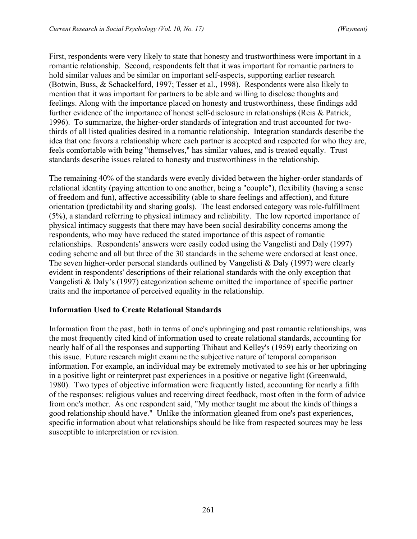First, respondents were very likely to state that honesty and trustworthiness were important in a romantic relationship. Second, respondents felt that it was important for romantic partners to hold similar values and be similar on important self-aspects, supporting earlier research (Botwin, Buss, & Schackelford, 1997; Tesser et al., 1998). Respondents were also likely to mention that it was important for partners to be able and willing to disclose thoughts and feelings. Along with the importance placed on honesty and trustworthiness, these findings add further evidence of the importance of honest self-disclosure in relationships (Reis & Patrick, 1996). To summarize, the higher-order standards of integration and trust accounted for twothirds of all listed qualities desired in a romantic relationship. Integration standards describe the idea that one favors a relationship where each partner is accepted and respected for who they are, feels comfortable with being "themselves," has similar values, and is treated equally. Trust standards describe issues related to honesty and trustworthiness in the relationship.

The remaining 40% of the standards were evenly divided between the higher-order standards of relational identity (paying attention to one another, being a "couple"), flexibility (having a sense of freedom and fun), affective accessibility (able to share feelings and affection), and future orientation (predictability and sharing goals). The least endorsed category was role-fulfillment (5%), a standard referring to physical intimacy and reliability. The low reported importance of physical intimacy suggests that there may have been social desirability concerns among the respondents, who may have reduced the stated importance of this aspect of romantic relationships. Respondents' answers were easily coded using the Vangelisti and Daly (1997) coding scheme and all but three of the 30 standards in the scheme were endorsed at least once. The seven higher-order personal standards outlined by Vangelisti & Daly (1997) were clearly evident in respondents' descriptions of their relational standards with the only exception that Vangelisti & Daly's (1997) categorization scheme omitted the importance of specific partner traits and the importance of perceived equality in the relationship.

#### **Information Used to Create Relational Standards**

Information from the past, both in terms of one's upbringing and past romantic relationships, was the most frequently cited kind of information used to create relational standards, accounting for nearly half of all the responses and supporting Thibaut and Kelley's (1959) early theorizing on this issue. Future research might examine the subjective nature of temporal comparison information. For example, an individual may be extremely motivated to see his or her upbringing in a positive light or reinterpret past experiences in a positive or negative light (Greenwald, 1980). Two types of objective information were frequently listed, accounting for nearly a fifth of the responses: religious values and receiving direct feedback, most often in the form of advice from one's mother. As one respondent said, "My mother taught me about the kinds of things a good relationship should have." Unlike the information gleaned from one's past experiences, specific information about what relationships should be like from respected sources may be less susceptible to interpretation or revision.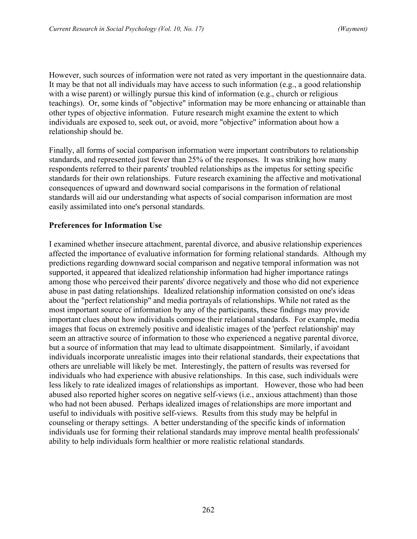However, such sources of information were not rated as very important in the questionnaire data. It may be that not all individuals may have access to such information (e.g., a good relationship with a wise parent) or willingly pursue this kind of information (e.g., church or religious teachings). Or, some kinds of "objective" information may be more enhancing or attainable than other types of objective information. Future research might examine the extent to which individuals are exposed to, seek out, or avoid, more "objective" information about how a relationship should be.

Finally, all forms of social comparison information were important contributors to relationship standards, and represented just fewer than 25% of the responses. It was striking how many respondents referred to their parents' troubled relationships as the impetus for setting specific standards for their own relationships. Future research examining the affective and motivational consequences of upward and downward social comparisons in the formation of relational standards will aid our understanding what aspects of social comparison information are most easily assimilated into one's personal standards.

#### **Preferences for Information Use**

I examined whether insecure attachment, parental divorce, and abusive relationship experiences affected the importance of evaluative information for forming relational standards. Although my predictions regarding downward social comparison and negative temporal information was not supported, it appeared that idealized relationship information had higher importance ratings among those who perceived their parents' divorce negatively and those who did not experience abuse in past dating relationships. Idealized relationship information consisted on one's ideas about the "perfect relationship" and media portrayals of relationships. While not rated as the most important source of information by any of the participants, these findings may provide important clues about how individuals compose their relational standards. For example, media images that focus on extremely positive and idealistic images of the 'perfect relationship' may seem an attractive source of information to those who experienced a negative parental divorce, but a source of information that may lead to ultimate disappointment. Similarly, if avoidant individuals incorporate unrealistic images into their relational standards, their expectations that others are unreliable will likely be met. Interestingly, the pattern of results was reversed for individuals who had experience with abusive relationships. In this case, such individuals were less likely to rate idealized images of relationships as important. However, those who had been abused also reported higher scores on negative self-views (i.e., anxious attachment) than those who had not been abused. Perhaps idealized images of relationships are more important and useful to individuals with positive self-views. Results from this study may be helpful in counseling or therapy settings. A better understanding of the specific kinds of information individuals use for forming their relational standards may improve mental health professionals' ability to help individuals form healthier or more realistic relational standards.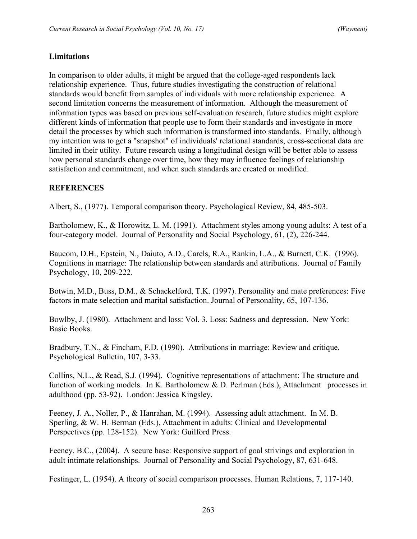#### **Limitations**

In comparison to older adults, it might be argued that the college-aged respondents lack relationship experience. Thus, future studies investigating the construction of relational standards would benefit from samples of individuals with more relationship experience. A second limitation concerns the measurement of information. Although the measurement of information types was based on previous self-evaluation research, future studies might explore different kinds of information that people use to form their standards and investigate in more detail the processes by which such information is transformed into standards. Finally, although my intention was to get a "snapshot" of individuals' relational standards, cross-sectional data are limited in their utility. Future research using a longitudinal design will be better able to assess how personal standards change over time, how they may influence feelings of relationship satisfaction and commitment, and when such standards are created or modified.

#### **REFERENCES**

Albert, S., (1977). Temporal comparison theory. Psychological Review, 84, 485-503.

Bartholomew, K., & Horowitz, L. M. (1991). Attachment styles among young adults: A test of a four-category model. Journal of Personality and Social Psychology, 61, (2), 226-244.

Baucom, D.H., Epstein, N., Daiuto, A.D., Carels, R.A., Rankin, L.A., & Burnett, C.K. (1996). Cognitions in marriage: The relationship between standards and attributions. Journal of Family Psychology, 10, 209-222.

Botwin, M.D., Buss, D.M., & Schackelford, T.K. (1997). Personality and mate preferences: Five factors in mate selection and marital satisfaction. Journal of Personality, 65, 107-136.

Bowlby, J. (1980). Attachment and loss: Vol. 3. Loss: Sadness and depression. New York: Basic Books.

Bradbury, T.N., & Fincham, F.D. (1990). Attributions in marriage: Review and critique. Psychological Bulletin, 107, 3-33.

Collins, N.L., & Read, S.J. (1994). Cognitive representations of attachment: The structure and function of working models. In K. Bartholomew & D. Perlman (Eds.), Attachment processes in adulthood (pp. 53-92). London: Jessica Kingsley.

Feeney, J. A., Noller, P., & Hanrahan, M. (1994). Assessing adult attachment. In M. B. Sperling, & W. H. Berman (Eds.), Attachment in adults: Clinical and Developmental Perspectives (pp. 128-152). New York: Guilford Press.

Feeney, B.C., (2004). A secure base: Responsive support of goal strivings and exploration in adult intimate relationships. Journal of Personality and Social Psychology, 87, 631-648.

Festinger, L. (1954). A theory of social comparison processes. Human Relations, 7, 117-140.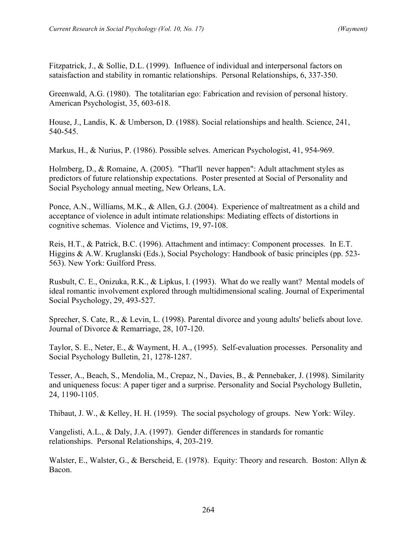Fitzpatrick, J., & Sollie, D.L. (1999). Influence of individual and interpersonal factors on sataisfaction and stability in romantic relationships. Personal Relationships, 6, 337-350.

Greenwald, A.G. (1980). The totalitarian ego: Fabrication and revision of personal history. American Psychologist, 35, 603-618.

House, J., Landis, K. & Umberson, D. (1988). Social relationships and health. Science, 241, 540-545.

Markus, H., & Nurius, P. (1986). Possible selves. American Psychologist, 41, 954-969.

Holmberg, D., & Romaine, A. (2005). "That'll never happen": Adult attachment styles as predictors of future relationship expectations. Poster presented at Social of Personality and Social Psychology annual meeting, New Orleans, LA.

Ponce, A.N., Williams, M.K., & Allen, G.J. (2004). Experience of maltreatment as a child and acceptance of violence in adult intimate relationships: Mediating effects of distortions in cognitive schemas. Violence and Victims, 19, 97-108.

Reis, H.T., & Patrick, B.C. (1996). Attachment and intimacy: Component processes. In E.T. Higgins & A.W. Kruglanski (Eds.), Social Psychology: Handbook of basic principles (pp. 523- 563). New York: Guilford Press.

Rusbult, C. E., Onizuka, R.K., & Lipkus, I. (1993). What do we really want? Mental models of ideal romantic involvement explored through multidimensional scaling. Journal of Experimental Social Psychology, 29, 493-527.

Sprecher, S. Cate, R., & Levin, L. (1998). Parental divorce and young adults' beliefs about love. Journal of Divorce & Remarriage, 28, 107-120.

Taylor, S. E., Neter, E., & Wayment, H. A., (1995). Self-evaluation processes. Personality and Social Psychology Bulletin, 21, 1278-1287.

Tesser, A., Beach, S., Mendolia, M., Crepaz, N., Davies, B., & Pennebaker, J. (1998). Similarity and uniqueness focus: A paper tiger and a surprise. Personality and Social Psychology Bulletin, 24, 1190-1105.

Thibaut, J. W., & Kelley, H. H. (1959). The social psychology of groups. New York: Wiley.

Vangelisti, A.L., & Daly, J.A. (1997). Gender differences in standards for romantic relationships. Personal Relationships, 4, 203-219.

Walster, E., Walster, G., & Berscheid, E. (1978). Equity: Theory and research. Boston: Allyn & Bacon.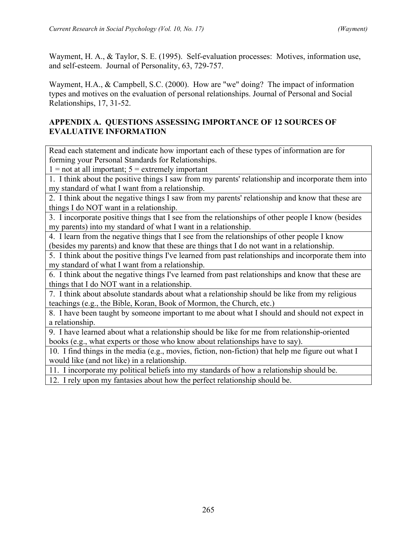Wayment, H. A., & Taylor, S. E. (1995). Self-evaluation processes: Motives, information use, and self-esteem. Journal of Personality, 63, 729-757.

Wayment, H.A., & Campbell, S.C. (2000). How are "we" doing? The impact of information types and motives on the evaluation of personal relationships. Journal of Personal and Social Relationships, 17, 31-52.

## **APPENDIX A. QUESTIONS ASSESSING IMPORTANCE OF 12 SOURCES OF EVALUATIVE INFORMATION**

Read each statement and indicate how important each of these types of information are for forming your Personal Standards for Relationships.

 $1 =$ not at all important;  $5 =$  extremely important

1. I think about the positive things I saw from my parents' relationship and incorporate them into my standard of what I want from a relationship.

2. I think about the negative things I saw from my parents' relationship and know that these are things I do NOT want in a relationship.

3. I incorporate positive things that I see from the relationships of other people I know (besides my parents) into my standard of what I want in a relationship.

4. I learn from the negative things that I see from the relationships of other people I know (besides my parents) and know that these are things that I do not want in a relationship.

5. I think about the positive things I've learned from past relationships and incorporate them into my standard of what I want from a relationship.

6. I think about the negative things I've learned from past relationships and know that these are things that I do NOT want in a relationship.

7. I think about absolute standards about what a relationship should be like from my religious teachings (e.g., the Bible, Koran, Book of Mormon, the Church, etc.)

8. I have been taught by someone important to me about what I should and should not expect in a relationship.

9. I have learned about what a relationship should be like for me from relationship-oriented books (e.g., what experts or those who know about relationships have to say).

10. I find things in the media (e.g., movies, fiction, non-fiction) that help me figure out what I would like (and not like) in a relationship.

11. I incorporate my political beliefs into my standards of how a relationship should be.

12. I rely upon my fantasies about how the perfect relationship should be.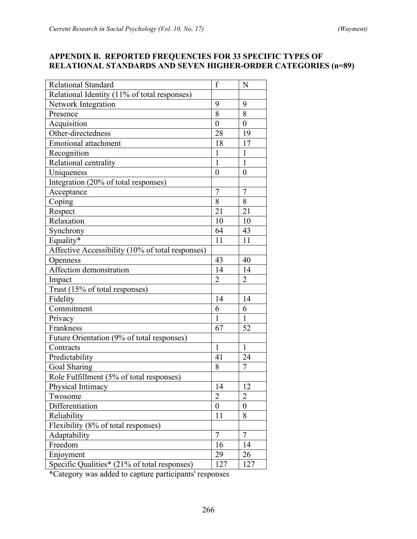#### **APPENDIX B. REPORTED FREQUENCIES FOR 33 SPECIFIC TYPES OF RELATIONAL STANDARDS AND SEVEN HIGHER-ORDER CATEGORIES (n=89)**

| <b>Relational Standard</b>                       | f                | N                |
|--------------------------------------------------|------------------|------------------|
| Relational Identity (11% of total responses)     |                  |                  |
| Network Integration                              | 9                | 9                |
| Presence                                         | 8                | 8                |
| Acquisition                                      | $\overline{0}$   | $\overline{0}$   |
| Other-directedness                               | 28               | 19               |
| <b>Emotional attachment</b>                      | 18               | 17               |
| Recognition                                      | 1                | $\mathbf{1}$     |
| Relational centrality                            | $\mathbf{1}$     | $\mathbf{1}$     |
| Uniqueness                                       | $\overline{0}$   | $\overline{0}$   |
| Integration (20% of total responses)             |                  |                  |
| Acceptance                                       | 7                | 7                |
| Coping                                           | 8                | 8                |
| Respect                                          | 21               | 21               |
| Relaxation                                       | 10               | 10               |
| Synchrony                                        | 64               | 43               |
| Equality*                                        | 11               | 11               |
| Affective Accessibility (10% of total responses) |                  |                  |
| Openness                                         | 43               | 40               |
| Affection demonstration                          | 14               | 14               |
| Impact                                           | $\overline{2}$   | $\overline{2}$   |
| Trust (15% of total responses)                   |                  |                  |
| Fidelity                                         | 14               | 14               |
| Commitment                                       | 6                | 6                |
| Privacy                                          | $\mathbf{1}$     | $\mathbf{1}$     |
| Frankness                                        | 67               | 52               |
| Future Orientation (9% of total responses)       |                  |                  |
| Contracts                                        | $\mathbf{1}$     | $\mathbf{1}$     |
| Predictability                                   | 41               | 24               |
| Goal Sharing                                     | 8                | 7                |
| Role Fulfillment (5% of total responses)         |                  |                  |
| Physical Intimacy                                | 14               | 12               |
| Twosome                                          | $\overline{2}$   | $\overline{2}$   |
| Differentiation                                  | $\boldsymbol{0}$ | $\boldsymbol{0}$ |
| Reliability                                      | 11               | 8                |
| Flexibility (8% of total responses)              |                  |                  |
| Adaptability                                     | 7                | 7                |
| Freedom                                          | 16               | 14               |
| Enjoyment                                        | 29               | 26               |
| Specific Qualities* (21% of total responses)     | 127              | 127              |

\*Category was added to capture participants' responses